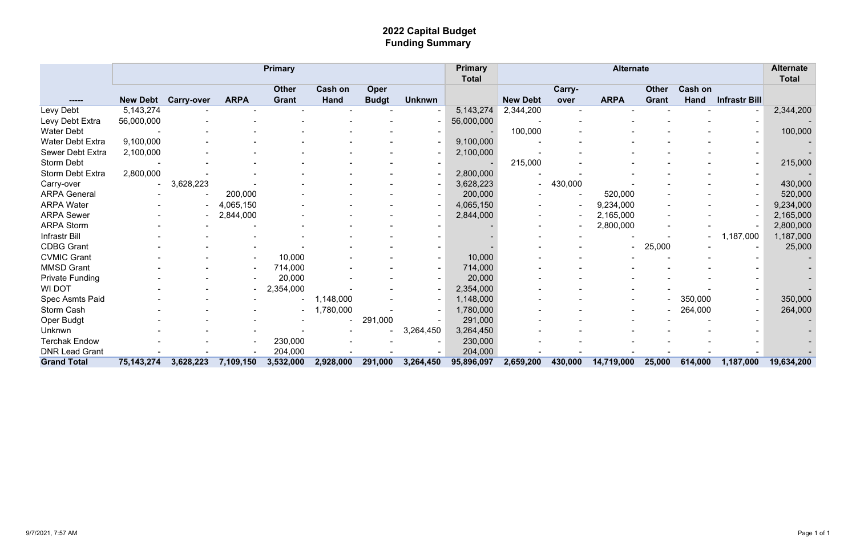## **2022 Capital Budget Funding Summary**

|                        |                 |                   |             | <b>Primary</b> |                |              |                          | <b>Primary</b><br><b>Total</b> | <b>Alternate</b> |         |             |              |                |                      |            |  |  |
|------------------------|-----------------|-------------------|-------------|----------------|----------------|--------------|--------------------------|--------------------------------|------------------|---------|-------------|--------------|----------------|----------------------|------------|--|--|
|                        |                 |                   |             | <b>Other</b>   | <b>Cash on</b> | Oper         |                          |                                |                  | Carry-  |             | <b>Other</b> | <b>Cash on</b> |                      |            |  |  |
|                        | <b>New Debt</b> | <b>Carry-over</b> | <b>ARPA</b> | <b>Grant</b>   | <b>Hand</b>    | <b>Budgt</b> | <b>Unknwn</b>            |                                | <b>New Debt</b>  | over    | <b>ARPA</b> | <b>Grant</b> | <b>Hand</b>    | <b>Infrastr Bill</b> |            |  |  |
| Levy Debt              | 5, 143, 274     |                   |             |                |                |              | $\overline{\phantom{a}}$ | 5, 143, 274                    | 2,344,200        |         |             |              |                |                      | 2,344,200  |  |  |
| Levy Debt Extra        | 56,000,000      |                   |             |                |                |              |                          | 56,000,000                     |                  |         |             |              |                |                      |            |  |  |
| <b>Water Debt</b>      |                 |                   |             |                |                |              |                          |                                | 100,000          |         |             |              |                |                      | 100,000    |  |  |
| Water Debt Extra       | 9,100,000       |                   |             |                |                |              |                          | 9,100,000                      |                  |         |             |              |                |                      |            |  |  |
| Sewer Debt Extra       | 2,100,000       |                   |             |                |                |              |                          | 2,100,000                      |                  |         |             |              |                |                      |            |  |  |
| <b>Storm Debt</b>      |                 |                   |             |                |                |              |                          |                                | 215,000          |         |             |              |                |                      | 215,000    |  |  |
| Storm Debt Extra       | 2,800,000       |                   |             |                |                |              |                          | 2,800,000                      |                  |         |             |              |                |                      |            |  |  |
| Carry-over             |                 | 3,628,223         |             |                |                |              |                          | 3,628,223                      |                  | 430,000 |             |              |                |                      | 430,000    |  |  |
| <b>ARPA General</b>    |                 |                   | 200,000     |                |                |              |                          | 200,000                        |                  |         | 520,000     |              |                |                      | 520,000    |  |  |
| <b>ARPA Water</b>      |                 |                   | 4,065,150   |                |                |              |                          | 4,065,150                      |                  |         | 9,234,000   |              |                |                      | 9,234,000  |  |  |
| <b>ARPA Sewer</b>      |                 |                   | 2,844,000   |                |                |              |                          | 2,844,000                      |                  |         | 2,165,000   |              |                |                      | 2,165,000  |  |  |
| <b>ARPA Storm</b>      |                 |                   |             |                |                |              |                          |                                |                  |         | 2,800,000   |              |                |                      | 2,800,000  |  |  |
| Infrastr Bill          |                 |                   |             |                |                |              |                          |                                |                  |         |             |              |                | 1,187,000            | 1,187,000  |  |  |
| <b>CDBG Grant</b>      |                 |                   |             |                |                |              |                          |                                |                  |         |             | 25,000       |                |                      | 25,000     |  |  |
| <b>CVMIC Grant</b>     |                 |                   |             | 10,000         |                |              |                          | 10,000                         |                  |         |             |              |                |                      |            |  |  |
| <b>MMSD Grant</b>      |                 |                   |             | 714,000        |                |              |                          | 714,000                        |                  |         |             |              |                |                      |            |  |  |
| <b>Private Funding</b> |                 |                   |             | 20,000         |                |              |                          | 20,000                         |                  |         |             |              |                |                      |            |  |  |
| <b>WI DOT</b>          |                 |                   |             | ,354,000       |                |              |                          | 2,354,000                      |                  |         |             |              |                |                      |            |  |  |
| Spec Asmts Paid        |                 |                   |             |                | 1,148,000      |              |                          | 1,148,000                      |                  |         |             |              | 350,000        |                      | 350,000    |  |  |
| Storm Cash             |                 |                   |             |                | 1,780,000      |              |                          | 1,780,000                      |                  |         |             |              | 264,000        |                      | 264,000    |  |  |
| <b>Oper Budgt</b>      |                 |                   |             |                |                | 291,000      |                          | 291,000                        |                  |         |             |              |                |                      |            |  |  |
| Unknwn                 |                 |                   |             |                |                |              | 3,264,450                | 3,264,450                      |                  |         |             |              |                |                      |            |  |  |
| <b>Terchak Endow</b>   |                 |                   |             | 230,000        |                |              |                          | 230,000                        |                  |         |             |              |                |                      |            |  |  |
| <b>DNR Lead Grant</b>  |                 |                   |             | 204,000        |                |              |                          | 204,000                        |                  |         |             |              |                |                      |            |  |  |
| <b>Grand Total</b>     | 75, 143, 274    | 3,628,223         | 7,109,150   | 3,532,000      | 2,928,000      | 291,000      | 3,264,450                | 95,896,097                     | 2,659,200        | 430,000 | 14,719,000  | 25,000       | 614,000        | 1,187,000            | 19,634,200 |  |  |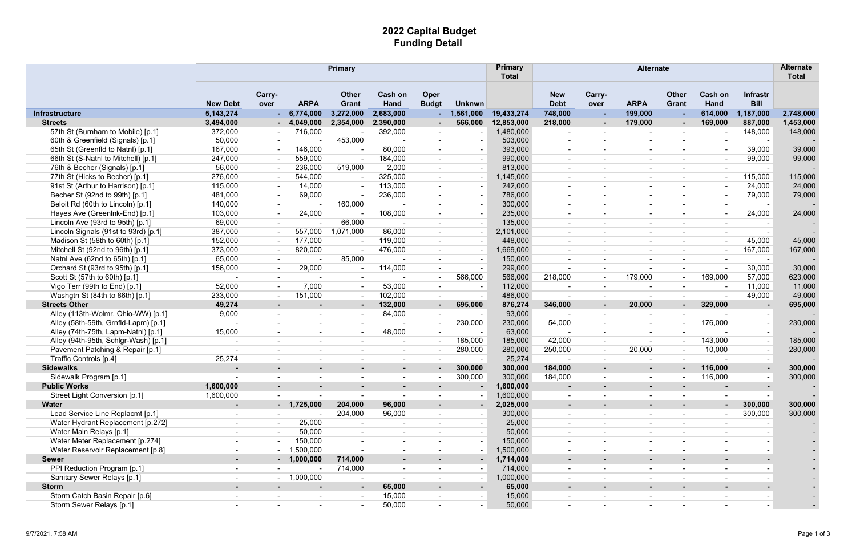## **2022 Capital Budget Funding Detail**

|                                      |                          |                          |                          | <b>Primary</b>               |                 |                             |               | <b>Primary</b><br><b>Total</b> | <b>Alternate</b>          |                          |             |                              |                          |                                |           |
|--------------------------------------|--------------------------|--------------------------|--------------------------|------------------------------|-----------------|-----------------------------|---------------|--------------------------------|---------------------------|--------------------------|-------------|------------------------------|--------------------------|--------------------------------|-----------|
|                                      | <b>New Debt</b>          | Carry-<br>over           | <b>ARPA</b>              | <b>Other</b><br><b>Grant</b> | Cash on<br>Hand | <b>Oper</b><br><b>Budgt</b> | <b>Unknwn</b> |                                | <b>New</b><br><b>Debt</b> | Carry-<br>over           | <b>ARPA</b> | <b>Other</b><br><b>Grant</b> | Cash on<br>Hand          | <b>Infrastr</b><br><b>Bill</b> |           |
| <b>Infrastructure</b>                | 5, 143, 274              |                          | 6,774,000                | 3,272,000                    | 2,683,000       | - 1                         | 1,561,000     | 19,433,274                     | 748,000                   |                          | 199,000     | ж.                           | 614,000                  | 1,187,000                      | 2,748,000 |
| <b>Streets</b>                       | 3,494,000                |                          | 4,049,000                | 2,354,000                    | 2,390,000       | $\sim$                      | 566,000       | 12,853,000                     | 218,000                   | $\sim$                   | 179,000     | $\sim$                       | 169,000                  | 887,000                        | 1,453,000 |
| 57th St (Burnham to Mobile) [p.1]    | 372,000                  |                          | 716,000                  |                              | 392,000         | $\overline{\phantom{a}}$    |               | 1,480,000                      | $\overline{\phantom{a}}$  |                          |             |                              |                          | 148,000                        | 148,000   |
| 60th & Greenfield (Signals) [p.1]    | 50,000                   |                          |                          | 453,000                      |                 |                             |               | 503,000                        | $\overline{\phantom{a}}$  |                          |             |                              | $\overline{\phantom{a}}$ |                                |           |
| 65th St (Greenfld to Natnl) [p.1]    | 167,000                  |                          | 146,000                  |                              | 80,000          | $\sim$                      |               | 393,000                        | $\sim$                    | $\overline{\phantom{a}}$ |             | $\blacksquare$               | $\blacksquare$           | 39,000                         | 39,000    |
| 66th St (S-Natnl to Mitchell) [p.1]  | 247,000                  |                          | 559,000                  |                              | 184,000         |                             |               | 990,000                        |                           |                          |             |                              | $\overline{\phantom{a}}$ | 99,000                         | 99,000    |
| 76th & Becher (Signals) [p.1]        | 56,000                   |                          | 236,000                  | 519,000                      | 2,000           |                             |               | 813,000                        |                           |                          |             |                              | $\sim$                   |                                |           |
| 77th St (Hicks to Becher) [p.1]      | 276,000                  |                          | 544,000                  |                              | 325,000         | $\sim$                      |               | 1,145,000                      | $\overline{\phantom{a}}$  |                          |             | $\blacksquare$               | $\blacksquare$           | 115,000                        | 115,000   |
| 91st St (Arthur to Harrison) [p.1]   | 115,000                  |                          | 14,000                   |                              | 113,000         | $\overline{\phantom{a}}$    |               | 242,000                        |                           |                          |             |                              | $\blacksquare$           | 24,000                         | 24,000    |
| Becher St (92nd to 99th) [p.1]       | 481,000                  | $\overline{\phantom{a}}$ | 69,000                   |                              | 236,000         | $\overline{\phantom{a}}$    |               | 786,000                        | $\overline{\phantom{a}}$  |                          |             |                              | $\sim$                   | 79,000                         | 79,000    |
| Beloit Rd (60th to Lincoln) [p.1]    | 140,000                  | $\blacksquare$           |                          | 160,000                      |                 | $\overline{\phantom{0}}$    |               | 300,000                        | $\overline{\phantom{a}}$  | $\blacksquare$           |             | $\overline{\phantom{0}}$     | $\blacksquare$           | $\overline{\phantom{0}}$       |           |
| Hayes Ave (GreenInk-End) [p.1]       | 103,000                  |                          | 24,000                   |                              | 108,000         | $\blacksquare$              |               | 235,000                        | $\overline{\phantom{a}}$  | $\overline{\phantom{a}}$ |             | $\blacksquare$               | $\blacksquare$           | 24,000                         | 24,000    |
| Lincoln Ave (93rd to 95th) [p.1]     | 69,000                   |                          |                          | 66,000                       |                 |                             |               | 135,000                        | $\overline{\phantom{a}}$  |                          |             |                              | $\sim$                   |                                |           |
| Lincoln Signals (91st to 93rd) [p.1] | 387,000                  |                          | 557,000                  | 1,071,000                    | 86,000          | $\blacksquare$              |               | 2,101,000                      | $\overline{\phantom{a}}$  |                          |             | $\overline{\phantom{0}}$     | $\sim$                   |                                |           |
| Madison St (58th to 60th) [p.1]      | 152,000                  |                          | 177,000                  |                              | 119,000         |                             |               | 448,000                        |                           |                          |             |                              | $\blacksquare$           | 45,000                         | 45,000    |
| Mitchell St (92nd to 96th) [p.1]     | 373,000                  |                          | 820,000                  |                              | 476,000         | $\blacksquare$              |               | 1,669,000                      | $\overline{\phantom{a}}$  |                          |             |                              | $\blacksquare$           | 167,000                        | 167,000   |
| Natnl Ave (62nd to 65th) [p.1]       | 65,000                   | $\blacksquare$           |                          | 85,000                       |                 | $\overline{\phantom{a}}$    |               | 150,000                        | $\overline{\phantom{a}}$  | $\overline{\phantom{a}}$ |             | $\blacksquare$               | $\blacksquare$           | $\overline{\phantom{a}}$       |           |
| Orchard St (93rd to 95th) [p.1]      | 156,000                  |                          | 29,000                   |                              | 114,000         |                             |               | 299,000                        |                           |                          |             |                              |                          | 30,000                         | 30,000    |
| Scott St (57th to 60th) [p.1]        |                          |                          |                          |                              |                 | $\blacksquare$              | 566,000       | 566,000                        | 218,000                   | $\overline{\phantom{a}}$ | 179,000     | $\blacksquare$               | 169,000                  | 57,000                         | 623,000   |
| Vigo Terr (99th to End) [p.1]        | 52,000                   |                          | 7,000                    |                              | 53,000          | $\blacksquare$              |               | 112,000                        | $\overline{\phantom{a}}$  |                          |             |                              |                          | 11,000                         | 11,000    |
| Washgtn St (84th to 86th) [p.1]      | 233,000                  |                          | 151,000                  |                              | 102,000         | $\overline{\phantom{a}}$    |               | 486,000                        |                           |                          |             |                              |                          | 49,000                         | 49,000    |
| <b>Streets Other</b>                 | 49,274                   | $\sim$                   |                          |                              | 132,000         | $\sim$                      | 695,000       | 876,274                        | 346,000                   | $\sim$                   | 20,000      | $\sim$                       | 329,000                  |                                | 695,000   |
| Alley (113th-Wolmr, Ohio-WW) [p.1]   | 9,000                    | $\overline{\phantom{0}}$ |                          |                              | 84,000          | $\blacksquare$              |               | 93,000                         |                           |                          |             |                              |                          |                                |           |
| Alley (58th-59th, Grnfld-Lapm) [p.1] | $\overline{\phantom{a}}$ | $\blacksquare$           | $\overline{\phantom{a}}$ | $\overline{\phantom{0}}$     |                 | $\overline{\phantom{a}}$    | 230,000       | 230,000                        | 54,000                    | $\overline{\phantom{a}}$ |             | $\overline{\phantom{a}}$     | 176,000                  | $\sim$                         | 230,000   |
| Alley (74th-75th, Lapm-Natnl) [p.1]  | 15,000                   |                          |                          |                              | 48,000          |                             |               | 63,000                         |                           |                          |             |                              |                          | $\sim$                         |           |
| Alley (94th-95th, Schlgr-Wash) [p.1] |                          |                          |                          |                              |                 | $\sim$                      | 185,000       | 185,000                        | 42,000                    |                          |             | $\blacksquare$               | 143,000                  | $\sim$                         | 185,000   |
| Pavement Patching & Repair [p.1]     |                          | $\overline{\phantom{a}}$ |                          |                              |                 | $\overline{\phantom{a}}$    | 280,000       | 280,000                        | 250,000                   | $\overline{\phantom{a}}$ | 20,000      | $\overline{\phantom{a}}$     | 10,000                   | $\overline{a}$                 | 280,000   |
| Traffic Controls [p.4]               | 25,274                   |                          |                          |                              |                 |                             |               | 25,274                         |                           |                          |             |                              |                          | $\sim$                         |           |
| <b>Sidewalks</b>                     |                          |                          |                          |                              |                 | ۰                           | 300,000       | 300,000                        | 184,000                   |                          |             |                              | 116,000                  | $\sim$                         | 300,000   |
| Sidewalk Program [p.1]               | $\overline{\phantom{a}}$ | $\overline{\phantom{a}}$ |                          |                              |                 | $\overline{\phantom{a}}$    | 300,000       | 300,000                        | 184,000                   |                          |             |                              | 116,000                  | $\overline{\phantom{a}}$       | 300,000   |
| <b>Public Works</b>                  | 1,600,000                |                          |                          |                              |                 |                             |               | 1,600,000                      |                           |                          |             |                              | $\blacksquare$           |                                |           |
| Street Light Conversion [p.1]        | 1,600,000                |                          |                          |                              |                 |                             |               | 1,600,000                      |                           |                          |             |                              |                          |                                |           |
| <b>Water</b>                         |                          |                          | $-1,725,000$             | 204,000                      | 96,000          | $\blacksquare$              |               | 2,025,000                      | $\blacksquare$            |                          |             |                              | $\sim$                   | 300,000                        | 300,000   |
| Lead Service Line Replacmt [p.1]     | $\overline{\phantom{a}}$ |                          |                          | 204,000                      | 96,000          | $\overline{\phantom{a}}$    |               | 300,000                        | $\overline{\phantom{a}}$  |                          |             | $\overline{\phantom{a}}$     | $\overline{\phantom{a}}$ | 300,000                        | 300,000   |
| Water Hydrant Replacement [p.272]    | $\overline{\phantom{a}}$ |                          | 25,000                   |                              |                 |                             |               | 25,000                         | $\overline{\phantom{a}}$  |                          |             |                              |                          |                                |           |
| Water Main Relays [p.1]              | $\overline{\phantom{a}}$ |                          | 50,000                   |                              |                 |                             |               | 50,000                         | $\overline{\phantom{a}}$  |                          |             |                              | $\blacksquare$           |                                |           |
| Water Meter Replacement [p.274]      | $\overline{\phantom{a}}$ |                          | 150,000                  | $\sim$                       |                 |                             |               | 150,000                        | $\overline{\phantom{a}}$  |                          |             | $\blacksquare$               | $\blacksquare$           |                                |           |
| Water Reservoir Replacement [p.8]    |                          |                          | 1,500,000                |                              |                 |                             |               | 1,500,000                      |                           |                          |             |                              |                          |                                |           |
| <b>Sewer</b>                         |                          |                          | $-1,000,000$             | 714,000                      |                 |                             |               | 1,714,000                      |                           |                          |             |                              |                          |                                |           |
| PPI Reduction Program [p.1]          | $\overline{\phantom{a}}$ |                          |                          | 714,000                      | $\blacksquare$  |                             |               | 714,000                        | $\overline{\phantom{a}}$  |                          |             | $\blacksquare$               | $\blacksquare$           |                                |           |
| Sanitary Sewer Relays [p.1]          | $\blacksquare$           |                          | 1,000,000                |                              |                 |                             |               | 1,000,000                      |                           |                          |             |                              | $\overline{\phantom{a}}$ |                                |           |
| <b>Storm</b>                         | $\sim$                   | ۰.                       | ٠                        | $\sim$                       | 65,000          | $\sim$                      |               | 65,000                         | $\blacksquare$            | $\blacksquare$           |             | $\sim$                       | $\sim$                   |                                |           |
| Storm Catch Basin Repair [p.6]       | $\blacksquare$           |                          |                          |                              | 15,000          | $\overline{\phantom{a}}$    |               | 15,000                         | $\blacksquare$            |                          |             | $\overline{\phantom{a}}$     | $\overline{\phantom{a}}$ |                                |           |
| Storm Sewer Relays [p.1]             | $\overline{\phantom{0}}$ | $\overline{\phantom{a}}$ |                          |                              | 50,000          | $\overline{\phantom{a}}$    |               | 50,000                         | $\overline{\phantom{a}}$  |                          |             |                              | $\overline{\phantom{a}}$ |                                |           |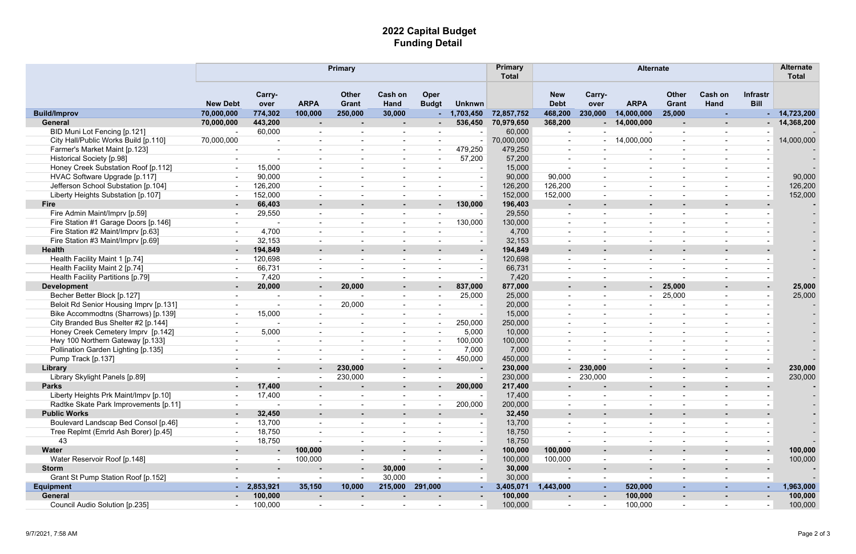## **2022 Capital Budget Funding Detail**

|                                        | <b>Primary</b>  |                |                          |                              |                               |                             |                          |            | <b>Alternate</b>          |                          |                          |                          |                               |                                |            |
|----------------------------------------|-----------------|----------------|--------------------------|------------------------------|-------------------------------|-----------------------------|--------------------------|------------|---------------------------|--------------------------|--------------------------|--------------------------|-------------------------------|--------------------------------|------------|
|                                        | <b>New Debt</b> | Carry-<br>over | <b>ARPA</b>              | <b>Other</b><br><b>Grant</b> | <b>Cash on</b><br><b>Hand</b> | <b>Oper</b><br><b>Budgt</b> | <b>Unknwn</b>            |            | <b>New</b><br><b>Debt</b> | Carry-<br>over           | <b>ARPA</b>              | <b>Other</b><br>Grant    | <b>Cash on</b><br><b>Hand</b> | <b>Infrastr</b><br><b>Bill</b> |            |
| <b>Build/Improv</b>                    | 70,000,000      | 774,302        | 100,000                  | 250,000                      | 30,000                        |                             | 1,703,450                | 72,857,752 | 468,200                   | 230,000                  | 14,000,000               | 25,000                   | <b>F</b>                      |                                | 14,723,200 |
| General                                | 70,000,000      | 443,200        | $\sim$                   |                              |                               |                             | 536,450                  | 70,979,650 | 368,200                   |                          | $-14,000,000$            | $\sim$                   |                               |                                | 14,368,200 |
| BID Muni Lot Fencing [p.121]           |                 | 60,000         |                          |                              |                               |                             |                          | 60,000     | $\overline{\phantom{a}}$  |                          |                          | $\overline{\phantom{a}}$ | $\overline{\phantom{a}}$      |                                |            |
| City Hall/Public Works Build [p.110]   | 70,000,000      |                | $\overline{\phantom{a}}$ |                              | $\overline{\phantom{a}}$      |                             |                          | 70,000,000 | $\sim$                    |                          | 14,000,000               | $\overline{\phantom{a}}$ | $\overline{\phantom{a}}$      |                                | 14,000,000 |
| Farmer's Market Maint [p.123]          |                 |                |                          |                              |                               |                             | 479,250                  | 479,250    |                           |                          |                          | $\overline{\phantom{a}}$ | $\overline{\phantom{a}}$      |                                |            |
| Historical Society [p.98]              |                 |                |                          |                              | $\blacksquare$                |                             | 57,200                   | 57,200     |                           |                          |                          | $\blacksquare$           | $\overline{\phantom{a}}$      |                                |            |
| Honey Creek Substation Roof [p.112]    |                 | 15,000         | $\overline{\phantom{0}}$ |                              | $\overline{\phantom{a}}$      |                             |                          | 15,000     |                           |                          | $\overline{\phantom{a}}$ | $\overline{\phantom{a}}$ | $\overline{\phantom{a}}$      | $\overline{\phantom{a}}$       |            |
| HVAC Software Upgrade [p.117]          |                 | 90,000         |                          |                              |                               |                             |                          | 90,000     | 90,000                    |                          |                          | $\overline{\phantom{a}}$ | $\overline{\phantom{a}}$      | $\sim$                         | 90,000     |
| Jefferson School Substation [p.104]    |                 | 126,200        |                          |                              |                               |                             | $\overline{\phantom{a}}$ | 126,200    | 126,200                   |                          |                          | $\overline{\phantom{a}}$ | $\overline{\phantom{a}}$      | $\sim$                         | 126,200    |
| Liberty Heights Substation [p.107]     |                 | 152,000        | $\blacksquare$           | $\overline{\phantom{a}}$     | $\overline{\phantom{a}}$      |                             | $\overline{\phantom{a}}$ | 152,000    | 152,000                   | $\overline{\phantom{a}}$ | $\overline{\phantom{a}}$ | $\overline{\phantom{a}}$ | $\overline{\phantom{a}}$      | $\sim$                         | 152,000    |
| <b>Fire</b>                            |                 | 66,403         | $\sim$                   |                              | $\blacksquare$                |                             | 130,000                  | 196,403    | $\sim$                    | $\blacksquare$           | $\blacksquare$           | $\sim$                   | ٠                             | $\blacksquare$                 |            |
| Fire Admin Maint/Imprv [p.59]          |                 | 29,550         |                          |                              |                               |                             |                          | 29,550     | $\overline{\phantom{a}}$  |                          |                          | $\overline{\phantom{a}}$ | $\overline{\phantom{a}}$      |                                |            |
| Fire Station #1 Garage Doors [p.146]   |                 |                |                          |                              | $\overline{\phantom{a}}$      |                             | 130,000                  | 130,000    |                           |                          |                          | $\overline{\phantom{a}}$ | $\overline{\phantom{a}}$      |                                |            |
| Fire Station #2 Maint/Imprv [p.63]     |                 | 4,700          |                          |                              |                               |                             |                          | 4,700      |                           |                          |                          | $\blacksquare$           | $\overline{\phantom{a}}$      |                                |            |
| Fire Station #3 Maint/Imprv [p.69]     |                 | 32,153         |                          |                              |                               |                             |                          | 32,153     |                           |                          |                          |                          | $\overline{\phantom{a}}$      |                                |            |
| <b>Health</b>                          |                 | 194,849        | $\sim$                   |                              | ٠                             |                             | $\sim$                   | 194,849    | $\sim$                    |                          |                          | $\blacksquare$           | ٠                             |                                |            |
| Health Facility Maint 1 [p.74]         |                 | 120,698        |                          |                              |                               |                             |                          | 120,698    |                           |                          |                          |                          | $\overline{\phantom{a}}$      |                                |            |
| Health Facility Maint 2 [p.74]         |                 | 66,731         |                          |                              | $\overline{\phantom{a}}$      |                             |                          | 66,731     |                           | $\overline{\phantom{a}}$ |                          | $\overline{\phantom{a}}$ | $\overline{\phantom{a}}$      |                                |            |
| Health Facility Partitions [p.79]      |                 | 7,420          | $\overline{\phantom{0}}$ |                              | $\overline{\phantom{a}}$      |                             |                          | 7,420      | $\overline{\phantom{0}}$  | $\overline{\phantom{a}}$ |                          |                          | $\overline{\phantom{a}}$      | $\overline{\phantom{a}}$       |            |
| <b>Development</b>                     |                 | 20,000         | $\sim$                   | 20,000                       | $\blacksquare$                | $\sim$                      | 837,000                  | 877,000    |                           |                          | $\sim$ $-$               | 25,000                   | $\blacksquare$                |                                | 25,000     |
| Becher Better Block [p.127]            |                 |                |                          |                              | $\overline{\phantom{a}}$      |                             | 25,000                   | 25,000     |                           | $\blacksquare$           |                          | 25,000                   | $\overline{\phantom{a}}$      |                                | 25,000     |
| Beloit Rd Senior Housing Imprv [p.131] |                 |                | $\blacksquare$           | 20,000                       | $\blacksquare$                |                             | $\overline{\phantom{a}}$ | 20,000     |                           | $\overline{\phantom{a}}$ |                          | $\overline{\phantom{a}}$ | $\overline{\phantom{a}}$      |                                |            |
| Bike Accommodtns (Sharrows) [p.139]    |                 | 15,000         | $\overline{\phantom{a}}$ |                              | $\overline{\phantom{a}}$      |                             |                          | 15,000     |                           |                          | $\overline{\phantom{a}}$ | $\overline{\phantom{a}}$ | $\overline{\phantom{a}}$      |                                |            |
| City Branded Bus Shelter #2 [p.144]    |                 |                |                          |                              | $\overline{\phantom{a}}$      |                             | 250,000                  | 250,000    |                           |                          |                          |                          | $\overline{\phantom{a}}$      |                                |            |
| Honey Creek Cemetery Imprv [p.142]     |                 | 5,000          |                          |                              | $\overline{\phantom{a}}$      |                             | 5,000                    | 10,000     |                           | $\overline{\phantom{a}}$ |                          | $\overline{\phantom{a}}$ | $\overline{\phantom{a}}$      |                                |            |
| Hwy 100 Northern Gateway [p.133]       |                 |                |                          |                              |                               |                             | 100,000                  | 100,000    |                           |                          |                          | $\overline{\phantom{a}}$ | $\overline{\phantom{a}}$      |                                |            |
| Pollination Garden Lighting [p.135]    |                 |                | $\overline{\phantom{0}}$ |                              | $\overline{\phantom{a}}$      |                             | 7,000                    | 7,000      |                           | $\overline{\phantom{0}}$ | $\overline{\phantom{a}}$ | $\overline{\phantom{a}}$ | $\overline{\phantom{a}}$      |                                |            |
| Pump Track [p.137]                     |                 |                |                          |                              | $\overline{\phantom{a}}$      |                             | 450,000                  | 450,000    |                           |                          | $\overline{\phantom{a}}$ | $\blacksquare$           | $\overline{\phantom{a}}$      |                                |            |
| Library                                |                 |                |                          | 230,000                      |                               |                             |                          | 230,000    | $\sim$ 10 $\pm$           | 230,000                  |                          |                          |                               | $\blacksquare$                 | 230,000    |
| Library Skylight Panels [p.89]         |                 |                | $\overline{\phantom{a}}$ | 230,000                      |                               |                             | $\overline{\phantom{a}}$ | 230,000    |                           | 230,000                  |                          |                          | $\overline{\phantom{a}}$      | $\overline{\phantom{a}}$       | 230,000    |
| <b>Parks</b>                           |                 | 17,400         |                          |                              | $\blacksquare$                | $\sim$                      | 200,000                  | 217,400    |                           |                          |                          |                          | ٠                             |                                |            |
| Liberty Heights Prk Maint/Impv [p.10]  |                 | 17,400         | $\overline{\phantom{a}}$ |                              | $\overline{\phantom{a}}$      |                             |                          | 17,400     |                           |                          |                          | $\blacksquare$           | $\overline{\phantom{a}}$      |                                |            |
| Radtke Skate Park Improvements [p.11]  |                 |                | $\blacksquare$           |                              | $\overline{\phantom{a}}$      |                             | 200,000                  | 200,000    | $\overline{\phantom{a}}$  |                          |                          | $\overline{\phantom{a}}$ | $\overline{\phantom{a}}$      |                                |            |
| <b>Public Works</b>                    |                 | 32,450         |                          |                              | ٠                             |                             |                          | 32,450     | ж.                        | ۰                        |                          | $\blacksquare$           | $\blacksquare$                |                                |            |
| Boulevard Landscap Bed Consol [p.46]   |                 | 13,700         |                          |                              |                               |                             |                          | 13,700     |                           |                          |                          | $\overline{\phantom{a}}$ | $\overline{\phantom{a}}$      |                                |            |
| Tree Replmt (Emrld Ash Borer) [p.45]   |                 | 18,750         |                          |                              | $\overline{\phantom{a}}$      |                             |                          | 18,750     |                           |                          |                          | $\overline{\phantom{a}}$ | $\overline{\phantom{a}}$      |                                |            |
| 43                                     |                 | 18,750         |                          |                              |                               |                             |                          | 18,750     |                           |                          |                          |                          |                               |                                |            |
| <b>Water</b>                           |                 |                | 100,000                  |                              |                               |                             |                          | 100,000    | 100,000                   |                          |                          |                          | ٠                             |                                | 100,000    |
| Water Reservoir Roof [p.148]           |                 |                | 100,000                  |                              |                               |                             | $\overline{\phantom{a}}$ | 100,000    | 100,000                   | $\overline{\phantom{a}}$ |                          | $\overline{\phantom{a}}$ | $\overline{\phantom{a}}$      | $\overline{\phantom{a}}$       | 100,000    |
| <b>Storm</b>                           |                 |                |                          | ٠                            | 30,000                        |                             |                          | 30,000     |                           | ۰                        |                          | ٠                        | $\blacksquare$                |                                |            |
| Grant St Pump Station Roof [p.152]     |                 |                | $\blacksquare$           |                              | 30,000                        |                             |                          | 30,000     |                           |                          |                          | $\overline{\phantom{a}}$ | $\overline{\phantom{a}}$      |                                |            |
| <b>Equipment</b>                       |                 | $-2,853,921$   | 35,150                   | 10,000                       | 215,000                       | 291,000                     |                          | 3,405,071  | 1,443,000                 | $\sim$                   | 520,000                  | ٠                        | ٠                             | ٠                              | 1,963,000  |
| General                                |                 | 100,000        |                          |                              |                               |                             |                          | 100,000    |                           | $\blacksquare$           | 100,000                  | ۰                        | ٠                             |                                | 100,000    |
| Council Audio Solution [p.235]         |                 | 100,000        | $\blacksquare$           |                              |                               |                             |                          | 100,000    | $\overline{\phantom{a}}$  | $\overline{\phantom{a}}$ | 100,000                  | $\sim$                   | $\overline{\phantom{a}}$      |                                | 100,000    |